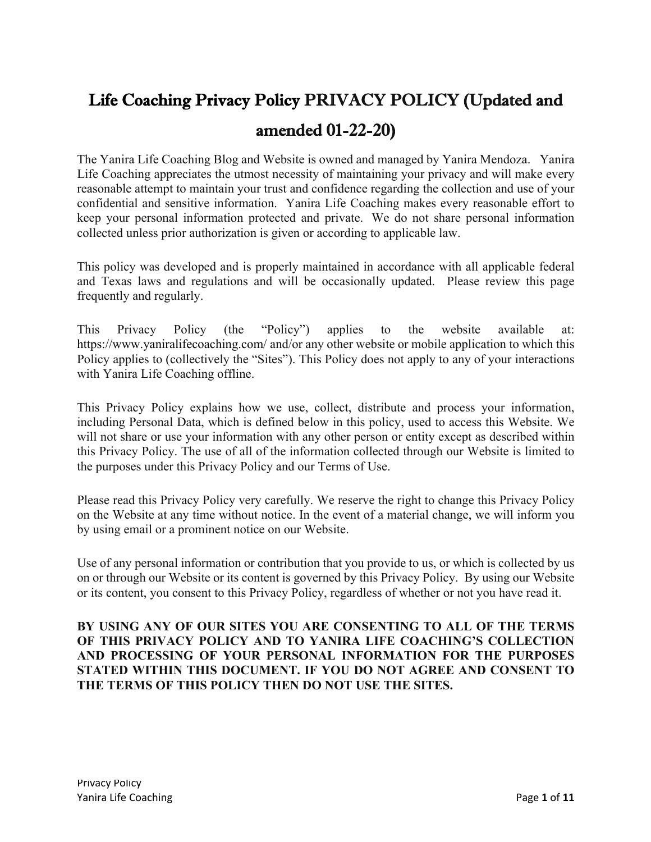# Life Coaching Privacy Policy PRIVACY POLICY (Updated and amended 01-22-20)

The Yanira Life Coaching Blog and Website is owned and managed by Yanira Mendoza. Yanira Life Coaching appreciates the utmost necessity of maintaining your privacy and will make every reasonable attempt to maintain your trust and confidence regarding the collection and use of your confidential and sensitive information. Yanira Life Coaching makes every reasonable effort to keep your personal information protected and private. We do not share personal information collected unless prior authorization is given or according to applicable law.

This policy was developed and is properly maintained in accordance with all applicable federal and Texas laws and regulations and will be occasionally updated. Please review this page frequently and regularly.

This Privacy Policy (the "Policy") applies to the website available at: https://www.yaniralifecoaching.com/ and/or any other website or mobile application to which this Policy applies to (collectively the "Sites"). This Policy does not apply to any of your interactions with Yanira Life Coaching offline.

This Privacy Policy explains how we use, collect, distribute and process your information, including Personal Data, which is defined below in this policy, used to access this Website. We will not share or use your information with any other person or entity except as described within this Privacy Policy. The use of all of the information collected through our Website is limited to the purposes under this Privacy Policy and our Terms of Use.

Please read this Privacy Policy very carefully. We reserve the right to change this Privacy Policy on the Website at any time without notice. In the event of a material change, we will inform you by using email or a prominent notice on our Website.

Use of any personal information or contribution that you provide to us, or which is collected by us on or through our Website or its content is governed by this Privacy Policy. By using our Website or its content, you consent to this Privacy Policy, regardless of whether or not you have read it.

# **BY USING ANY OF OUR SITES YOU ARE CONSENTING TO ALL OF THE TERMS OF THIS PRIVACY POLICY AND TO YANIRA LIFE COACHING'S COLLECTION AND PROCESSING OF YOUR PERSONAL INFORMATION FOR THE PURPOSES STATED WITHIN THIS DOCUMENT. IF YOU DO NOT AGREE AND CONSENT TO THE TERMS OF THIS POLICY THEN DO NOT USE THE SITES.**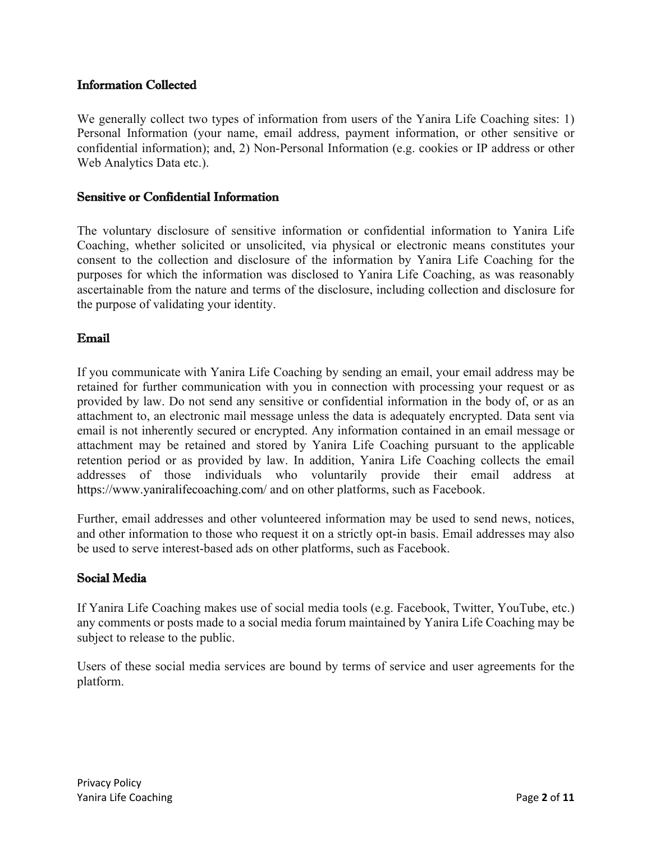# Information Collected

We generally collect two types of information from users of the Yanira Life Coaching sites: 1) Personal Information (your name, email address, payment information, or other sensitive or confidential information); and, 2) Non-Personal Information (e.g. cookies or IP address or other Web Analytics Data etc.).

## Sensitive or Confidential Information

The voluntary disclosure of sensitive information or confidential information to Yanira Life Coaching, whether solicited or unsolicited, via physical or electronic means constitutes your consent to the collection and disclosure of the information by Yanira Life Coaching for the purposes for which the information was disclosed to Yanira Life Coaching, as was reasonably ascertainable from the nature and terms of the disclosure, including collection and disclosure for the purpose of validating your identity.

## Email

If you communicate with Yanira Life Coaching by sending an email, your email address may be retained for further communication with you in connection with processing your request or as provided by law. Do not send any sensitive or confidential information in the body of, or as an attachment to, an electronic mail message unless the data is adequately encrypted. Data sent via email is not inherently secured or encrypted. Any information contained in an email message or attachment may be retained and stored by Yanira Life Coaching pursuant to the applicable retention period or as provided by law. In addition, Yanira Life Coaching collects the email addresses of those individuals who voluntarily provide their email address at https://www.yaniralifecoaching.com/ and on other platforms, such as Facebook.

Further, email addresses and other volunteered information may be used to send news, notices, and other information to those who request it on a strictly opt-in basis. Email addresses may also be used to serve interest-based ads on other platforms, such as Facebook.

# Social Media

If Yanira Life Coaching makes use of social media tools (e.g. Facebook, Twitter, YouTube, etc.) any comments or posts made to a social media forum maintained by Yanira Life Coaching may be subject to release to the public.

Users of these social media services are bound by terms of service and user agreements for the platform.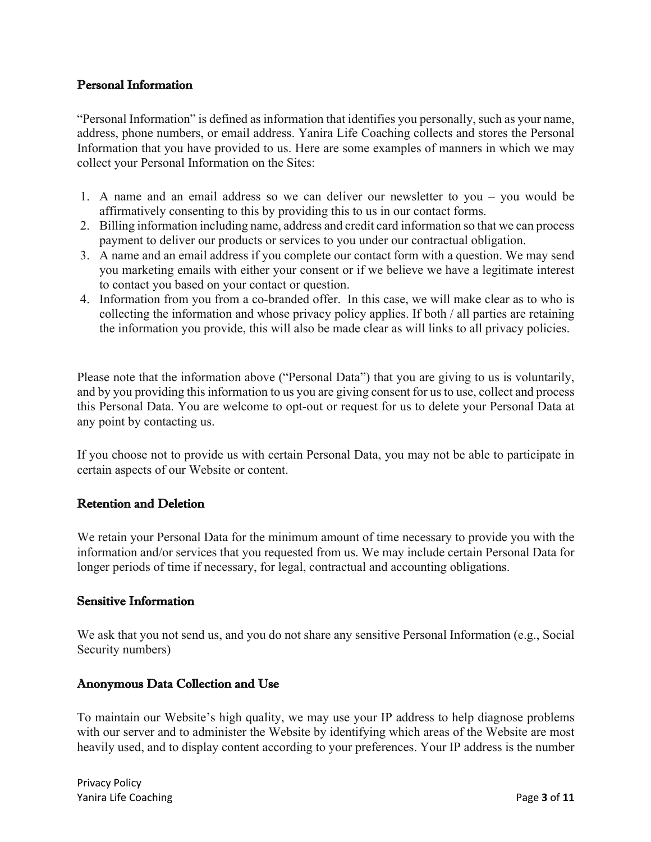## Personal Information

"Personal Information" is defined as information that identifies you personally, such as your name, address, phone numbers, or email address. Yanira Life Coaching collects and stores the Personal Information that you have provided to us. Here are some examples of manners in which we may collect your Personal Information on the Sites:

- 1. A name and an email address so we can deliver our newsletter to you you would be affirmatively consenting to this by providing this to us in our contact forms.
- 2. Billing information including name, address and credit card information so that we can process payment to deliver our products or services to you under our contractual obligation.
- 3. A name and an email address if you complete our contact form with a question. We may send you marketing emails with either your consent or if we believe we have a legitimate interest to contact you based on your contact or question.
- 4. Information from you from a co-branded offer. In this case, we will make clear as to who is collecting the information and whose privacy policy applies. If both / all parties are retaining the information you provide, this will also be made clear as will links to all privacy policies.

Please note that the information above ("Personal Data") that you are giving to us is voluntarily, and by you providing this information to us you are giving consent for us to use, collect and process this Personal Data. You are welcome to opt-out or request for us to delete your Personal Data at any point by contacting us.

If you choose not to provide us with certain Personal Data, you may not be able to participate in certain aspects of our Website or content.

#### Retention and Deletion

We retain your Personal Data for the minimum amount of time necessary to provide you with the information and/or services that you requested from us. We may include certain Personal Data for longer periods of time if necessary, for legal, contractual and accounting obligations.

#### Sensitive Information

We ask that you not send us, and you do not share any sensitive Personal Information (e.g., Social Security numbers)

# Anonymous Data Collection and Use

To maintain our Website's high quality, we may use your IP address to help diagnose problems with our server and to administer the Website by identifying which areas of the Website are most heavily used, and to display content according to your preferences. Your IP address is the number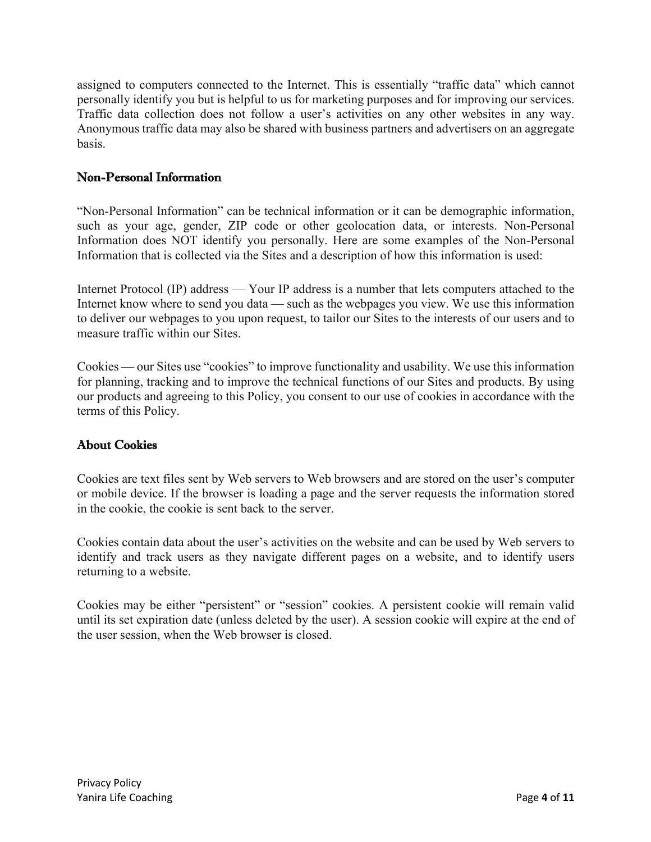assigned to computers connected to the Internet. This is essentially "traffic data" which cannot personally identify you but is helpful to us for marketing purposes and for improving our services. Traffic data collection does not follow a user's activities on any other websites in any way. Anonymous traffic data may also be shared with business partners and advertisers on an aggregate basis.

# Non-Personal Information

"Non-Personal Information" can be technical information or it can be demographic information, such as your age, gender, ZIP code or other geolocation data, or interests. Non-Personal Information does NOT identify you personally. Here are some examples of the Non-Personal Information that is collected via the Sites and a description of how this information is used:

Internet Protocol (IP) address — Your IP address is a number that lets computers attached to the Internet know where to send you data — such as the webpages you view. We use this information to deliver our webpages to you upon request, to tailor our Sites to the interests of our users and to measure traffic within our Sites.

Cookies — our Sites use "cookies" to improve functionality and usability. We use this information for planning, tracking and to improve the technical functions of our Sites and products. By using our products and agreeing to this Policy, you consent to our use of cookies in accordance with the terms of this Policy.

# About Cookies

Cookies are text files sent by Web servers to Web browsers and are stored on the user's computer or mobile device. If the browser is loading a page and the server requests the information stored in the cookie, the cookie is sent back to the server.

Cookies contain data about the user's activities on the website and can be used by Web servers to identify and track users as they navigate different pages on a website, and to identify users returning to a website.

Cookies may be either "persistent" or "session" cookies. A persistent cookie will remain valid until its set expiration date (unless deleted by the user). A session cookie will expire at the end of the user session, when the Web browser is closed.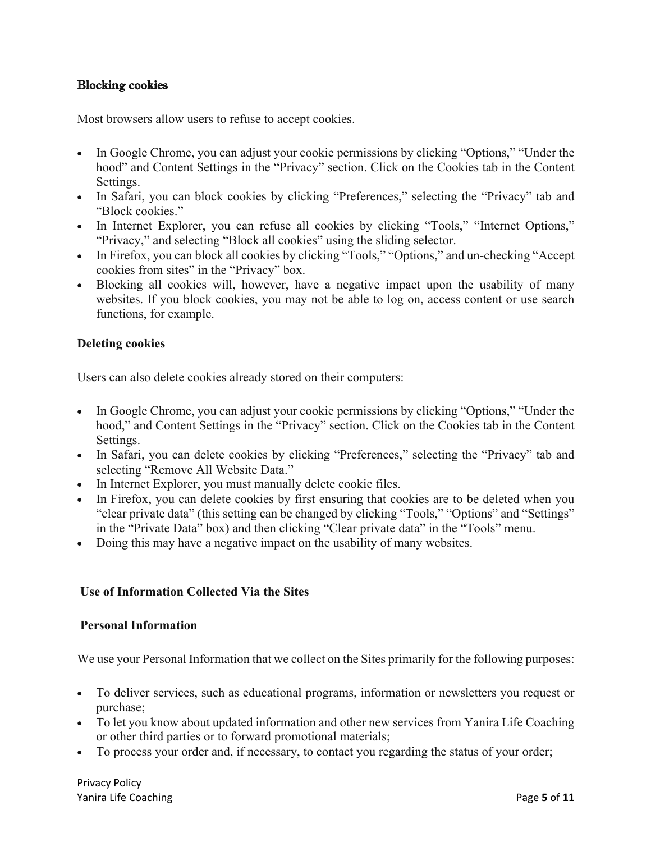## Blocking cookies

Most browsers allow users to refuse to accept cookies.

- In Google Chrome, you can adjust your cookie permissions by clicking "Options," "Under the hood" and Content Settings in the "Privacy" section. Click on the Cookies tab in the Content Settings.
- In Safari, you can block cookies by clicking "Preferences," selecting the "Privacy" tab and "Block cookies."
- In Internet Explorer, you can refuse all cookies by clicking "Tools," "Internet Options," "Privacy," and selecting "Block all cookies" using the sliding selector.
- In Firefox, you can block all cookies by clicking "Tools," "Options," and un-checking "Accept" cookies from sites" in the "Privacy" box.
- Blocking all cookies will, however, have a negative impact upon the usability of many websites. If you block cookies, you may not be able to log on, access content or use search functions, for example.

#### **Deleting cookies**

Users can also delete cookies already stored on their computers:

- In Google Chrome, you can adjust your cookie permissions by clicking "Options," "Under the hood," and Content Settings in the "Privacy" section. Click on the Cookies tab in the Content Settings.
- In Safari, you can delete cookies by clicking "Preferences," selecting the "Privacy" tab and selecting "Remove All Website Data."
- In Internet Explorer, you must manually delete cookie files.
- In Firefox, you can delete cookies by first ensuring that cookies are to be deleted when you "clear private data" (this setting can be changed by clicking "Tools," "Options" and "Settings" in the "Private Data" box) and then clicking "Clear private data" in the "Tools" menu.
- Doing this may have a negative impact on the usability of many websites.

#### **Use of Information Collected Via the Sites**

#### **Personal Information**

We use your Personal Information that we collect on the Sites primarily for the following purposes:

- To deliver services, such as educational programs, information or newsletters you request or purchase;
- To let you know about updated information and other new services from Yanira Life Coaching or other third parties or to forward promotional materials;
- To process your order and, if necessary, to contact you regarding the status of your order;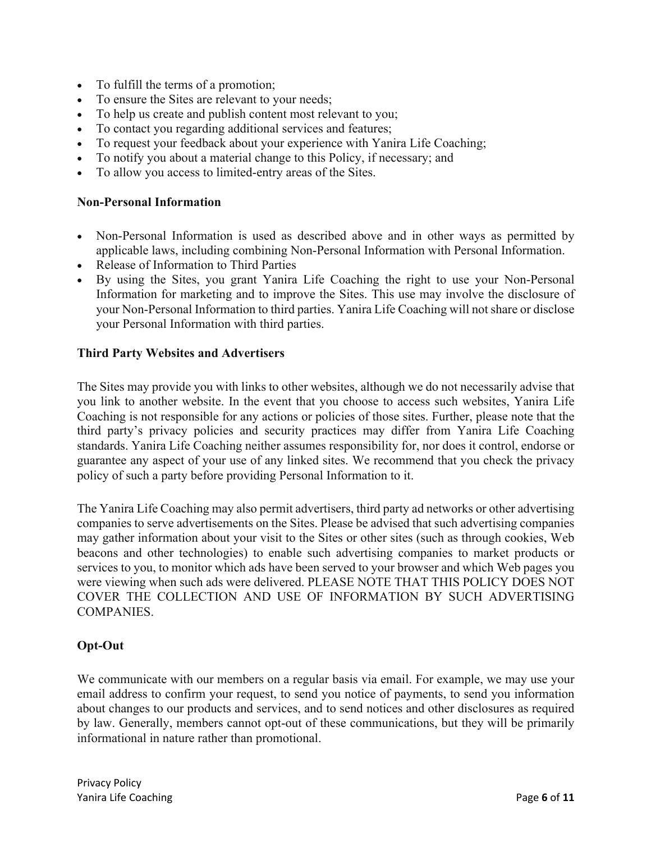- To fulfill the terms of a promotion;
- To ensure the Sites are relevant to your needs;
- To help us create and publish content most relevant to you;
- To contact you regarding additional services and features;
- To request your feedback about your experience with Yanira Life Coaching;
- To notify you about a material change to this Policy, if necessary; and
- To allow you access to limited-entry areas of the Sites.

#### **Non-Personal Information**

- Non-Personal Information is used as described above and in other ways as permitted by applicable laws, including combining Non-Personal Information with Personal Information.
- Release of Information to Third Parties
- By using the Sites, you grant Yanira Life Coaching the right to use your Non-Personal Information for marketing and to improve the Sites. This use may involve the disclosure of your Non-Personal Information to third parties. Yanira Life Coaching will not share or disclose your Personal Information with third parties.

#### **Third Party Websites and Advertisers**

The Sites may provide you with links to other websites, although we do not necessarily advise that you link to another website. In the event that you choose to access such websites, Yanira Life Coaching is not responsible for any actions or policies of those sites. Further, please note that the third party's privacy policies and security practices may differ from Yanira Life Coaching standards. Yanira Life Coaching neither assumes responsibility for, nor does it control, endorse or guarantee any aspect of your use of any linked sites. We recommend that you check the privacy policy of such a party before providing Personal Information to it.

The Yanira Life Coaching may also permit advertisers, third party ad networks or other advertising companies to serve advertisements on the Sites. Please be advised that such advertising companies may gather information about your visit to the Sites or other sites (such as through cookies, Web beacons and other technologies) to enable such advertising companies to market products or services to you, to monitor which ads have been served to your browser and which Web pages you were viewing when such ads were delivered. PLEASE NOTE THAT THIS POLICY DOES NOT COVER THE COLLECTION AND USE OF INFORMATION BY SUCH ADVERTISING COMPANIES.

# **Opt-Out**

We communicate with our members on a regular basis via email. For example, we may use your email address to confirm your request, to send you notice of payments, to send you information about changes to our products and services, and to send notices and other disclosures as required by law. Generally, members cannot opt-out of these communications, but they will be primarily informational in nature rather than promotional.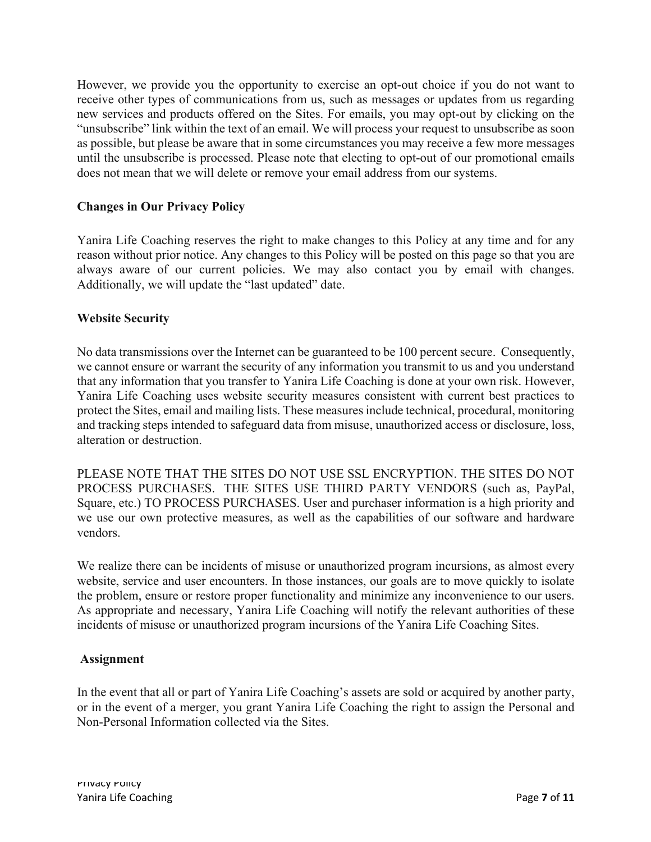However, we provide you the opportunity to exercise an opt-out choice if you do not want to receive other types of communications from us, such as messages or updates from us regarding new services and products offered on the Sites. For emails, you may opt-out by clicking on the "unsubscribe" link within the text of an email. We will process your request to unsubscribe as soon as possible, but please be aware that in some circumstances you may receive a few more messages until the unsubscribe is processed. Please note that electing to opt-out of our promotional emails does not mean that we will delete or remove your email address from our systems.

## **Changes in Our Privacy Policy**

Yanira Life Coaching reserves the right to make changes to this Policy at any time and for any reason without prior notice. Any changes to this Policy will be posted on this page so that you are always aware of our current policies. We may also contact you by email with changes. Additionally, we will update the "last updated" date.

#### **Website Security**

No data transmissions over the Internet can be guaranteed to be 100 percent secure. Consequently, we cannot ensure or warrant the security of any information you transmit to us and you understand that any information that you transfer to Yanira Life Coaching is done at your own risk. However, Yanira Life Coaching uses website security measures consistent with current best practices to protect the Sites, email and mailing lists. These measures include technical, procedural, monitoring and tracking steps intended to safeguard data from misuse, unauthorized access or disclosure, loss, alteration or destruction.

PLEASE NOTE THAT THE SITES DO NOT USE SSL ENCRYPTION. THE SITES DO NOT PROCESS PURCHASES. THE SITES USE THIRD PARTY VENDORS (such as, PayPal, Square, etc.) TO PROCESS PURCHASES. User and purchaser information is a high priority and we use our own protective measures, as well as the capabilities of our software and hardware vendors.

We realize there can be incidents of misuse or unauthorized program incursions, as almost every website, service and user encounters. In those instances, our goals are to move quickly to isolate the problem, ensure or restore proper functionality and minimize any inconvenience to our users. As appropriate and necessary, Yanira Life Coaching will notify the relevant authorities of these incidents of misuse or unauthorized program incursions of the Yanira Life Coaching Sites.

#### **Assignment**

In the event that all or part of Yanira Life Coaching's assets are sold or acquired by another party, or in the event of a merger, you grant Yanira Life Coaching the right to assign the Personal and Non-Personal Information collected via the Sites.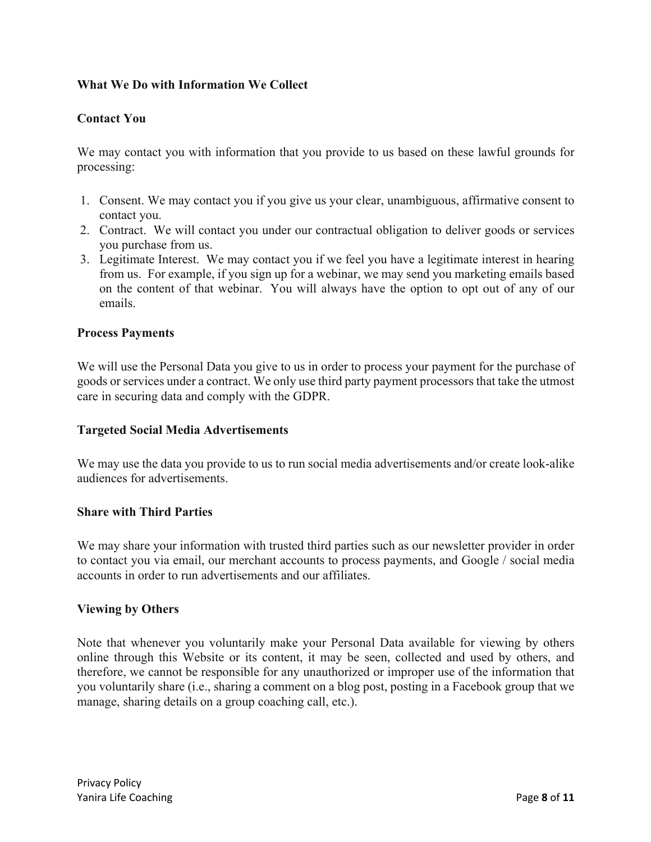# **What We Do with Information We Collect**

## **Contact You**

We may contact you with information that you provide to us based on these lawful grounds for processing:

- 1. Consent. We may contact you if you give us your clear, unambiguous, affirmative consent to contact you.
- 2. Contract. We will contact you under our contractual obligation to deliver goods or services you purchase from us.
- 3. Legitimate Interest. We may contact you if we feel you have a legitimate interest in hearing from us. For example, if you sign up for a webinar, we may send you marketing emails based on the content of that webinar. You will always have the option to opt out of any of our emails.

#### **Process Payments**

We will use the Personal Data you give to us in order to process your payment for the purchase of goods or services under a contract. We only use third party payment processors that take the utmost care in securing data and comply with the GDPR.

#### **Targeted Social Media Advertisements**

We may use the data you provide to us to run social media advertisements and/or create look-alike audiences for advertisements.

#### **Share with Third Parties**

We may share your information with trusted third parties such as our newsletter provider in order to contact you via email, our merchant accounts to process payments, and Google / social media accounts in order to run advertisements and our affiliates.

#### **Viewing by Others**

Note that whenever you voluntarily make your Personal Data available for viewing by others online through this Website or its content, it may be seen, collected and used by others, and therefore, we cannot be responsible for any unauthorized or improper use of the information that you voluntarily share (i.e., sharing a comment on a blog post, posting in a Facebook group that we manage, sharing details on a group coaching call, etc.).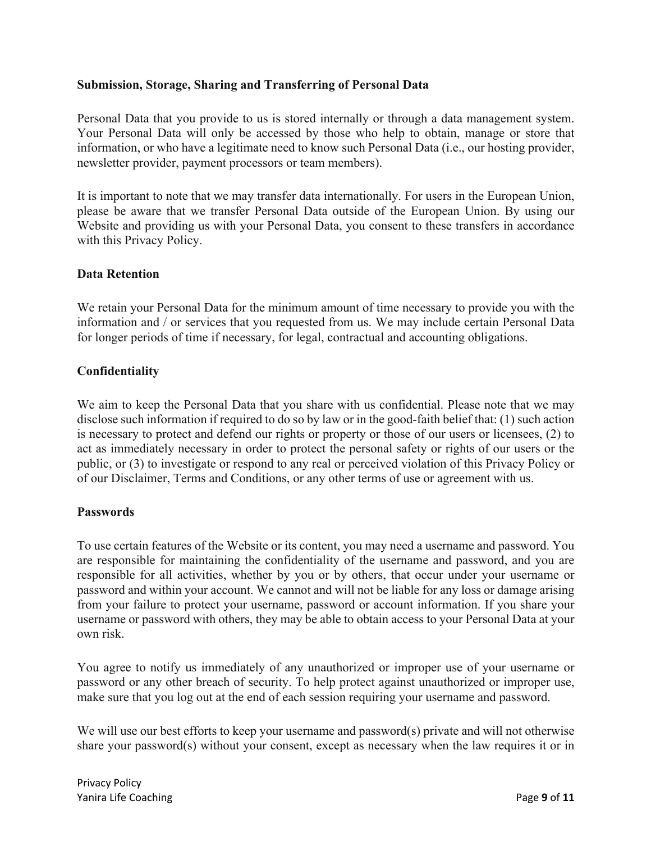## **Submission, Storage, Sharing and Transferring of Personal Data**

Personal Data that you provide to us is stored internally or through a data management system. Your Personal Data will only be accessed by those who help to obtain, manage or store that information, or who have a legitimate need to know such Personal Data (i.e., our hosting provider, newsletter provider, payment processors or team members).

It is important to note that we may transfer data internationally. For users in the European Union, please be aware that we transfer Personal Data outside of the European Union. By using our Website and providing us with your Personal Data, you consent to these transfers in accordance with this Privacy Policy.

## **Data Retention**

We retain your Personal Data for the minimum amount of time necessary to provide you with the information and / or services that you requested from us. We may include certain Personal Data for longer periods of time if necessary, for legal, contractual and accounting obligations.

## **Confidentiality**

We aim to keep the Personal Data that you share with us confidential. Please note that we may disclose such information if required to do so by law or in the good-faith belief that: (1) such action is necessary to protect and defend our rights or property or those of our users or licensees, (2) to act as immediately necessary in order to protect the personal safety or rights of our users or the public, or (3) to investigate or respond to any real or perceived violation of this Privacy Policy or of our Disclaimer, Terms and Conditions, or any other terms of use or agreement with us.

#### **Passwords**

To use certain features of the Website or its content, you may need a username and password. You are responsible for maintaining the confidentiality of the username and password, and you are responsible for all activities, whether by you or by others, that occur under your username or password and within your account. We cannot and will not be liable for any loss or damage arising from your failure to protect your username, password or account information. If you share your username or password with others, they may be able to obtain access to your Personal Data at your own risk.

You agree to notify us immediately of any unauthorized or improper use of your username or password or any other breach of security. To help protect against unauthorized or improper use, make sure that you log out at the end of each session requiring your username and password.

We will use our best efforts to keep your username and password(s) private and will not otherwise share your password(s) without your consent, except as necessary when the law requires it or in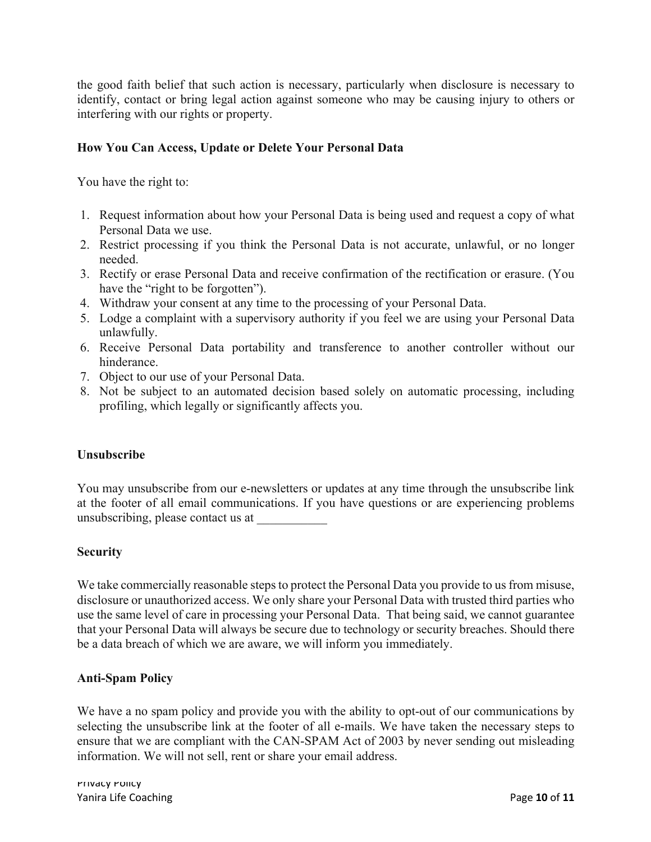the good faith belief that such action is necessary, particularly when disclosure is necessary to identify, contact or bring legal action against someone who may be causing injury to others or interfering with our rights or property.

# **How You Can Access, Update or Delete Your Personal Data**

You have the right to:

- 1. Request information about how your Personal Data is being used and request a copy of what Personal Data we use.
- 2. Restrict processing if you think the Personal Data is not accurate, unlawful, or no longer needed.
- 3. Rectify or erase Personal Data and receive confirmation of the rectification or erasure. (You have the "right to be forgotten").
- 4. Withdraw your consent at any time to the processing of your Personal Data.
- 5. Lodge a complaint with a supervisory authority if you feel we are using your Personal Data unlawfully.
- 6. Receive Personal Data portability and transference to another controller without our hinderance.
- 7. Object to our use of your Personal Data.
- 8. Not be subject to an automated decision based solely on automatic processing, including profiling, which legally or significantly affects you.

#### **Unsubscribe**

You may unsubscribe from our e-newsletters or updates at any time through the unsubscribe link at the footer of all email communications. If you have questions or are experiencing problems unsubscribing, please contact us at \_\_\_\_\_\_\_\_\_\_\_

#### **Security**

We take commercially reasonable steps to protect the Personal Data you provide to us from misuse, disclosure or unauthorized access. We only share your Personal Data with trusted third parties who use the same level of care in processing your Personal Data. That being said, we cannot guarantee that your Personal Data will always be secure due to technology or security breaches. Should there be a data breach of which we are aware, we will inform you immediately.

# **Anti-Spam Policy**

We have a no spam policy and provide you with the ability to opt-out of our communications by selecting the unsubscribe link at the footer of all e-mails. We have taken the necessary steps to ensure that we are compliant with the CAN-SPAM Act of 2003 by never sending out misleading information. We will not sell, rent or share your email address.